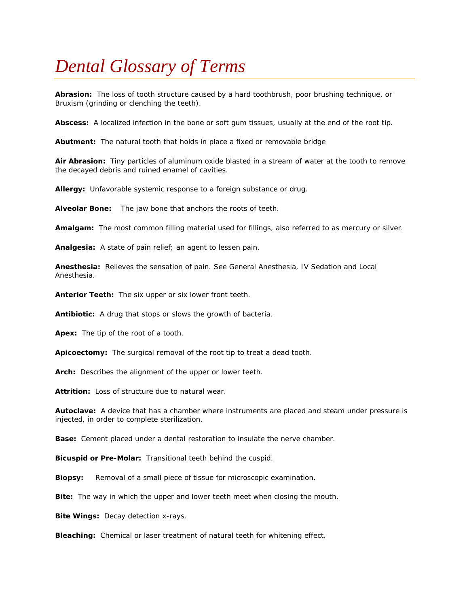## *Dental Glossary of Terms*

**Abrasion:** The loss of tooth structure caused by a hard toothbrush, poor brushing technique, or Bruxism (grinding or clenching the teeth).

**Abscess:** A localized infection in the bone or soft gum tissues, usually at the end of the root tip.

**Abutment:** The natural tooth that holds in place a fixed or removable bridge

**Air Abrasion:** Tiny particles of aluminum oxide blasted in a stream of water at the tooth to remove the decayed debris and ruined enamel of cavities.

**Allergy:** Unfavorable systemic response to a foreign substance or drug.

**Alveolar Bone:** The jaw bone that anchors the roots of teeth.

**Amalgam:** The most common filling material used for fillings, also referred to as mercury or silver.

**Analgesia:** A state of pain relief; an agent to lessen pain.

**Anesthesia:** Relieves the sensation of pain. See General Anesthesia, IV Sedation and Local Anesthesia.

**Anterior Teeth:** The six upper or six lower front teeth.

**Antibiotic:** A drug that stops or slows the growth of bacteria.

**Apex:** The tip of the root of a tooth.

**Apicoectomy:** The surgical removal of the root tip to treat a dead tooth.

**Arch:** Describes the alignment of the upper or lower teeth.

**Attrition:** Loss of structure due to natural wear.

**Autoclave:** A device that has a chamber where instruments are placed and steam under pressure is injected, in order to complete sterilization.

**Base:** Cement placed under a dental restoration to insulate the nerve chamber.

**Bicuspid or Pre-Molar:** Transitional teeth behind the cuspid.

**Biopsy:** Removal of a small piece of tissue for microscopic examination.

**Bite:** The way in which the upper and lower teeth meet when closing the mouth.

**Bite Wings:** Decay detection x-rays.

**Bleaching:** Chemical or laser treatment of natural teeth for whitening effect.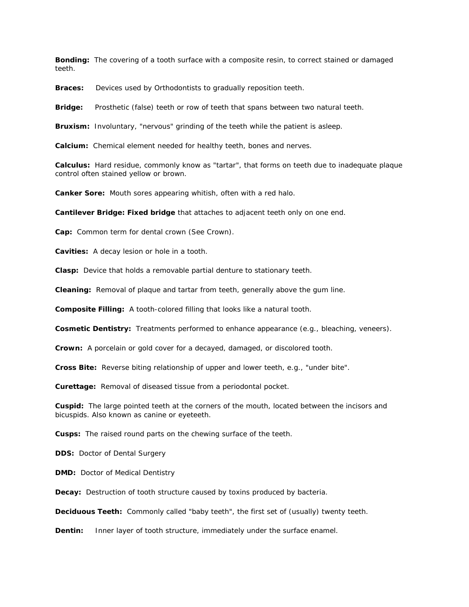**Bonding:** The covering of a tooth surface with a composite resin, to correct stained or damaged teeth.

**Braces:** Devices used by Orthodontists to gradually reposition teeth.

**Bridge:** Prosthetic (false) teeth or row of teeth that spans between two natural teeth.

**Bruxism:** Involuntary, "nervous" grinding of the teeth while the patient is asleep.

**Calcium:** Chemical element needed for healthy teeth, bones and nerves.

**Calculus:** Hard residue, commonly know as "tartar", that forms on teeth due to inadequate plaque control often stained yellow or brown.

**Canker Sore:** Mouth sores appearing whitish, often with a red halo.

**Cantilever Bridge: Fixed bridge** that attaches to adjacent teeth only on one end.

**Cap:** Common term for dental crown (See Crown).

**Cavities:** A decay lesion or hole in a tooth.

**Clasp:** Device that holds a removable partial denture to stationary teeth.

**Cleaning:** Removal of plaque and tartar from teeth, generally above the gum line.

**Composite Filling:** A tooth-colored filling that looks like a natural tooth.

**Cosmetic Dentistry:** Treatments performed to enhance appearance (e.g., bleaching, veneers).

**Crown:** A porcelain or gold cover for a decayed, damaged, or discolored tooth.

**Cross Bite:** Reverse biting relationship of upper and lower teeth, e.g., "under bite".

**Curettage:** Removal of diseased tissue from a periodontal pocket.

**Cuspid:** The large pointed teeth at the corners of the mouth, located between the incisors and bicuspids. Also known as canine or eyeteeth.

**Cusps:** The raised round parts on the chewing surface of the teeth.

**DDS:** Doctor of Dental Surgery

**DMD:** Doctor of Medical Dentistry

**Decay:** Destruction of tooth structure caused by toxins produced by bacteria.

**Deciduous Teeth:** Commonly called "baby teeth", the first set of (usually) twenty teeth.

**Dentin:** Inner layer of tooth structure, immediately under the surface enamel.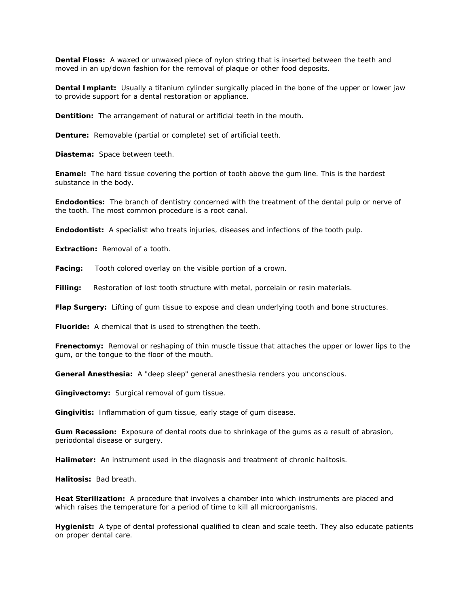**Dental Floss:** A waxed or unwaxed piece of nylon string that is inserted between the teeth and moved in an up/down fashion for the removal of plaque or other food deposits.

**Dental Implant:** Usually a titanium cylinder surgically placed in the bone of the upper or lower jaw to provide support for a dental restoration or appliance.

**Dentition:** The arrangement of natural or artificial teeth in the mouth.

**Denture:** Removable (partial or complete) set of artificial teeth.

**Diastema:** Space between teeth.

**Enamel:** The hard tissue covering the portion of tooth above the gum line. This is the hardest substance in the body.

**Endodontics:** The branch of dentistry concerned with the treatment of the dental pulp or nerve of the tooth. The most common procedure is a root canal.

**Endodontist:** A specialist who treats injuries, diseases and infections of the tooth pulp.

**Extraction:** Removal of a tooth.

**Facing:** Tooth colored overlay on the visible portion of a crown.

**Filling:** Restoration of lost tooth structure with metal, porcelain or resin materials.

**Flap Surgery:** Lifting of gum tissue to expose and clean underlying tooth and bone structures.

**Fluoride:** A chemical that is used to strengthen the teeth.

**Frenectomy:** Removal or reshaping of thin muscle tissue that attaches the upper or lower lips to the gum, or the tongue to the floor of the mouth.

**General Anesthesia:** A "deep sleep" general anesthesia renders you unconscious.

**Gingivectomy:** Surgical removal of gum tissue.

**Gingivitis:** Inflammation of gum tissue, early stage of gum disease.

**Gum Recession:** Exposure of dental roots due to shrinkage of the gums as a result of abrasion, periodontal disease or surgery.

**Halimeter:** An instrument used in the diagnosis and treatment of chronic halitosis.

**Halitosis:** Bad breath.

**Heat Sterilization:** A procedure that involves a chamber into which instruments are placed and which raises the temperature for a period of time to kill all microorganisms.

**Hygienist:** A type of dental professional qualified to clean and scale teeth. They also educate patients on proper dental care.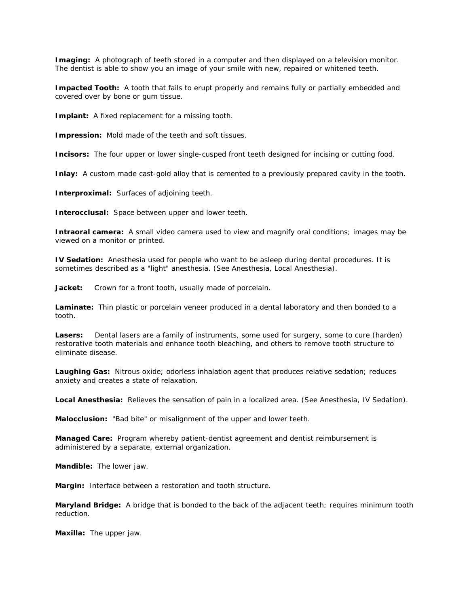**Imaging:** A photograph of teeth stored in a computer and then displayed on a television monitor. The dentist is able to show you an image of your smile with new, repaired or whitened teeth.

**Impacted Tooth:** A tooth that fails to erupt properly and remains fully or partially embedded and covered over by bone or gum tissue.

**Implant:** A fixed replacement for a missing tooth.

**Impression:** Mold made of the teeth and soft tissues.

**Incisors:** The four upper or lower single-cusped front teeth designed for incising or cutting food.

**Inlay:** A custom made cast-gold alloy that is cemented to a previously prepared cavity in the tooth.

**Interproximal:** Surfaces of adjoining teeth.

**Interocclusal:** Space between upper and lower teeth.

**Intraoral camera:** A small video camera used to view and magnify oral conditions; images may be viewed on a monitor or printed.

**IV Sedation:** Anesthesia used for people who want to be asleep during dental procedures. It is sometimes described as a "light" anesthesia. (See Anesthesia, Local Anesthesia).

Jacket: Crown for a front tooth, usually made of porcelain.

**Laminate:** Thin plastic or porcelain veneer produced in a dental laboratory and then bonded to a tooth.

Lasers: Dental lasers are a family of instruments, some used for surgery, some to cure (harden) restorative tooth materials and enhance tooth bleaching, and others to remove tooth structure to eliminate disease.

**Laughing Gas:** Nitrous oxide; odorless inhalation agent that produces relative sedation; reduces anxiety and creates a state of relaxation.

**Local Anesthesia:** Relieves the sensation of pain in a localized area. (See Anesthesia, IV Sedation).

**Malocclusion:** "Bad bite" or misalignment of the upper and lower teeth.

**Managed Care:** Program whereby patient-dentist agreement and dentist reimbursement is administered by a separate, external organization.

**Mandible:** The lower jaw.

**Margin:** Interface between a restoration and tooth structure.

**Maryland Bridge:** A bridge that is bonded to the back of the adjacent teeth; requires minimum tooth reduction.

**Maxilla:** The upper jaw.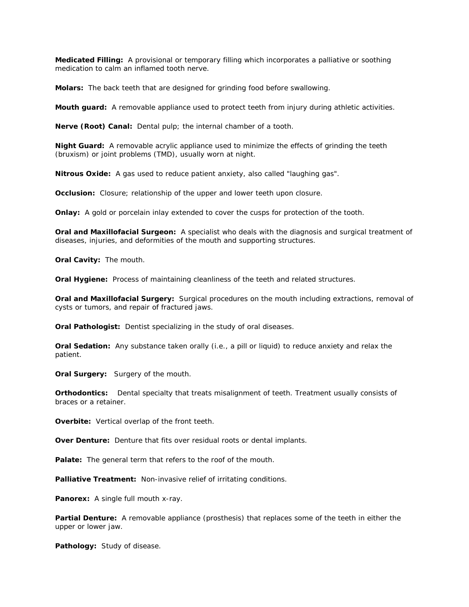**Medicated Filling:** A provisional or temporary filling which incorporates a palliative or soothing medication to calm an inflamed tooth nerve.

**Molars:** The back teeth that are designed for grinding food before swallowing.

**Mouth guard:** A removable appliance used to protect teeth from injury during athletic activities.

**Nerve (Root) Canal:** Dental pulp; the internal chamber of a tooth.

**Night Guard:** A removable acrylic appliance used to minimize the effects of grinding the teeth (bruxism) or joint problems (TMD), usually worn at night.

**Nitrous Oxide:** A gas used to reduce patient anxiety, also called "laughing gas".

**Occlusion:** Closure; relationship of the upper and lower teeth upon closure.

**Onlay:** A gold or porcelain inlay extended to cover the cusps for protection of the tooth.

**Oral and Maxillofacial Surgeon:** A specialist who deals with the diagnosis and surgical treatment of diseases, injuries, and deformities of the mouth and supporting structures.

**Oral Cavity:** The mouth.

**Oral Hygiene:** Process of maintaining cleanliness of the teeth and related structures.

**Oral and Maxillofacial Surgery:** Surgical procedures on the mouth including extractions, removal of cysts or tumors, and repair of fractured jaws.

**Oral Pathologist:** Dentist specializing in the study of oral diseases.

**Oral Sedation:** Any substance taken orally (i.e., a pill or liquid) to reduce anxiety and relax the patient.

**Oral Surgery:** Surgery of the mouth.

**Orthodontics:** Dental specialty that treats misalignment of teeth. Treatment usually consists of braces or a retainer.

**Overbite:** Vertical overlap of the front teeth.

**Over Denture:** Denture that fits over residual roots or dental implants.

**Palate:** The general term that refers to the roof of the mouth.

Palliative Treatment: Non-invasive relief of irritating conditions.

Panorex: A single full mouth x-ray.

**Partial Denture:** A removable appliance (prosthesis) that replaces some of the teeth in either the upper or lower jaw.

**Pathology:** Study of disease.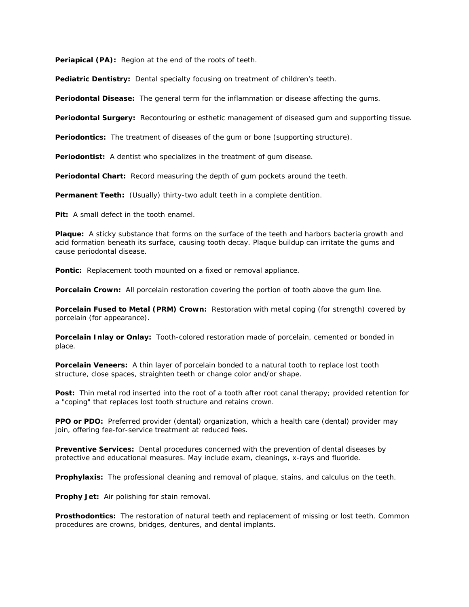**Periapical (PA):** Region at the end of the roots of teeth.

Pediatric Dentistry: Dental specialty focusing on treatment of children's teeth.

**Periodontal Disease:** The general term for the inflammation or disease affecting the gums.

**Periodontal Surgery:** Recontouring or esthetic management of diseased gum and supporting tissue.

**Periodontics:** The treatment of diseases of the gum or bone (supporting structure).

**Periodontist:** A dentist who specializes in the treatment of gum disease.

**Periodontal Chart:** Record measuring the depth of gum pockets around the teeth.

**Permanent Teeth:** (Usually) thirty-two adult teeth in a complete dentition.

**Pit:** A small defect in the tooth enamel.

**Plaque:** A sticky substance that forms on the surface of the teeth and harbors bacteria growth and acid formation beneath its surface, causing tooth decay. Plaque buildup can irritate the gums and cause periodontal disease.

Pontic: Replacement tooth mounted on a fixed or removal appliance.

**Porcelain Crown:** All porcelain restoration covering the portion of tooth above the gum line.

**Porcelain Fused to Metal (PRM) Crown:** Restoration with metal coping (for strength) covered by porcelain (for appearance).

**Porcelain Inlay or Onlay:** Tooth-colored restoration made of porcelain, cemented or bonded in place.

**Porcelain Veneers:** A thin layer of porcelain bonded to a natural tooth to replace lost tooth structure, close spaces, straighten teeth or change color and/or shape.

Post: Thin metal rod inserted into the root of a tooth after root canal therapy; provided retention for a "coping" that replaces lost tooth structure and retains crown.

**PPO or PDO:** Preferred provider (dental) organization, which a health care (dental) provider may join, offering fee-for-service treatment at reduced fees.

**Preventive Services:** Dental procedures concerned with the prevention of dental diseases by protective and educational measures. May include exam, cleanings, x-rays and fluoride.

**Prophylaxis:** The professional cleaning and removal of plaque, stains, and calculus on the teeth.

**Prophy Jet:** Air polishing for stain removal.

**Prosthodontics:** The restoration of natural teeth and replacement of missing or lost teeth. Common procedures are crowns, bridges, dentures, and dental implants.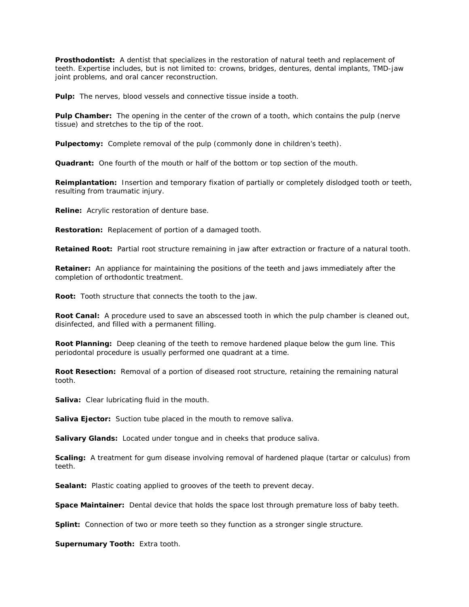**Prosthodontist:** A dentist that specializes in the restoration of natural teeth and replacement of teeth. Expertise includes, but is not limited to: crowns, bridges, dentures, dental implants, TMD-jaw joint problems, and oral cancer reconstruction.

**Pulp:** The nerves, blood vessels and connective tissue inside a tooth.

**Pulp Chamber:** The opening in the center of the crown of a tooth, which contains the pulp (nerve tissue) and stretches to the tip of the root.

**Pulpectomy:** Complete removal of the pulp (commonly done in children's teeth).

**Quadrant:** One fourth of the mouth or half of the bottom or top section of the mouth.

**Reimplantation:** Insertion and temporary fixation of partially or completely dislodged tooth or teeth, resulting from traumatic injury.

**Reline:** Acrylic restoration of denture base.

**Restoration:** Replacement of portion of a damaged tooth.

**Retained Root:** Partial root structure remaining in jaw after extraction or fracture of a natural tooth.

**Retainer:** An appliance for maintaining the positions of the teeth and jaws immediately after the completion of orthodontic treatment.

**Root:** Tooth structure that connects the tooth to the jaw.

**Root Canal:** A procedure used to save an abscessed tooth in which the pulp chamber is cleaned out, disinfected, and filled with a permanent filling.

**Root Planning:** Deep cleaning of the teeth to remove hardened plaque below the gum line. This periodontal procedure is usually performed one quadrant at a time.

**Root Resection:** Removal of a portion of diseased root structure, retaining the remaining natural tooth.

**Saliva:** Clear lubricating fluid in the mouth.

**Saliva Ejector:** Suction tube placed in the mouth to remove saliva.

**Salivary Glands:** Located under tongue and in cheeks that produce saliva.

**Scaling:** A treatment for gum disease involving removal of hardened plaque (tartar or calculus) from teeth.

**Sealant:** Plastic coating applied to grooves of the teeth to prevent decay.

**Space Maintainer:** Dental device that holds the space lost through premature loss of baby teeth.

**Splint:** Connection of two or more teeth so they function as a stronger single structure.

**Supernumary Tooth:** Extra tooth.